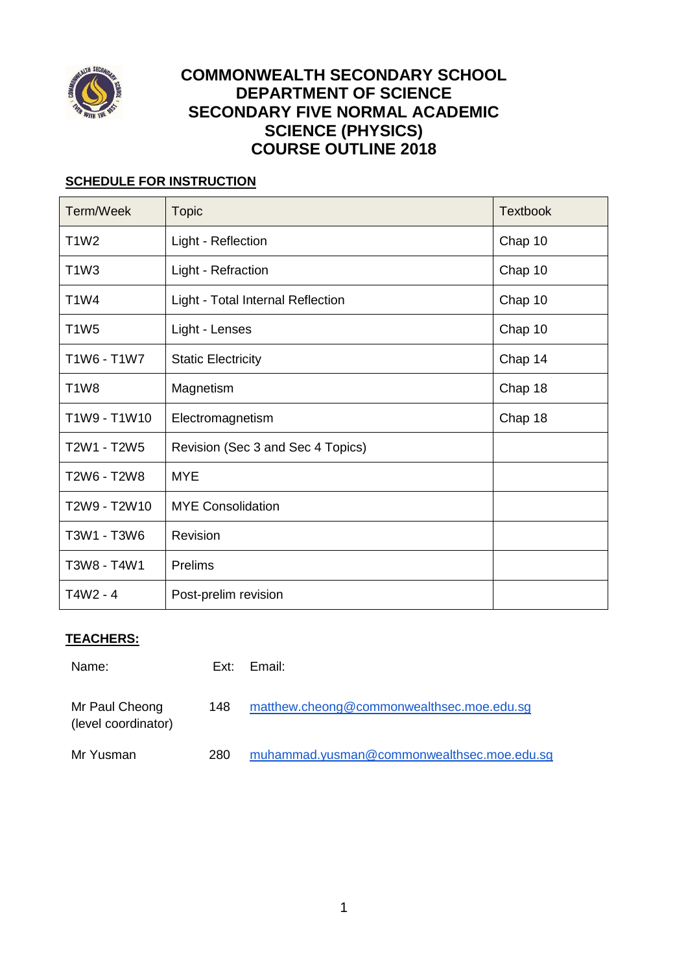

# **COMMONWEALTH SECONDARY SCHOOL DEPARTMENT OF SCIENCE SECONDARY FIVE NORMAL ACADEMIC SCIENCE (PHYSICS) COURSE OUTLINE 2018**

# **SCHEDULE FOR INSTRUCTION**

| Term/Week    | <b>Topic</b>                      | <b>Textbook</b> |
|--------------|-----------------------------------|-----------------|
| T1W2         | Light - Reflection                | Chap 10         |
| T1W3         | Light - Refraction                | Chap 10         |
| <b>T1W4</b>  | Light - Total Internal Reflection | Chap 10         |
| <b>T1W5</b>  | Light - Lenses                    | Chap 10         |
| T1W6 - T1W7  | <b>Static Electricity</b>         | Chap 14         |
| <b>T1W8</b>  | Magnetism                         | Chap 18         |
| T1W9 - T1W10 | Electromagnetism                  | Chap 18         |
| T2W1 - T2W5  | Revision (Sec 3 and Sec 4 Topics) |                 |
| T2W6 - T2W8  | <b>MYE</b>                        |                 |
| T2W9 - T2W10 | <b>MYE Consolidation</b>          |                 |
| T3W1 - T3W6  | Revision                          |                 |
| T3W8 - T4W1  | <b>Prelims</b>                    |                 |
| T4W2 - 4     | Post-prelim revision              |                 |

# **TEACHERS:**

| Name:                                 | Ext: | Email:                                     |
|---------------------------------------|------|--------------------------------------------|
| Mr Paul Cheong<br>(level coordinator) | 148  | matthew.cheong@commonwealthsec.moe.edu.sg  |
| Mr Yusman                             | 280  | muhammad.yusman@commonwealthsec.moe.edu.sq |